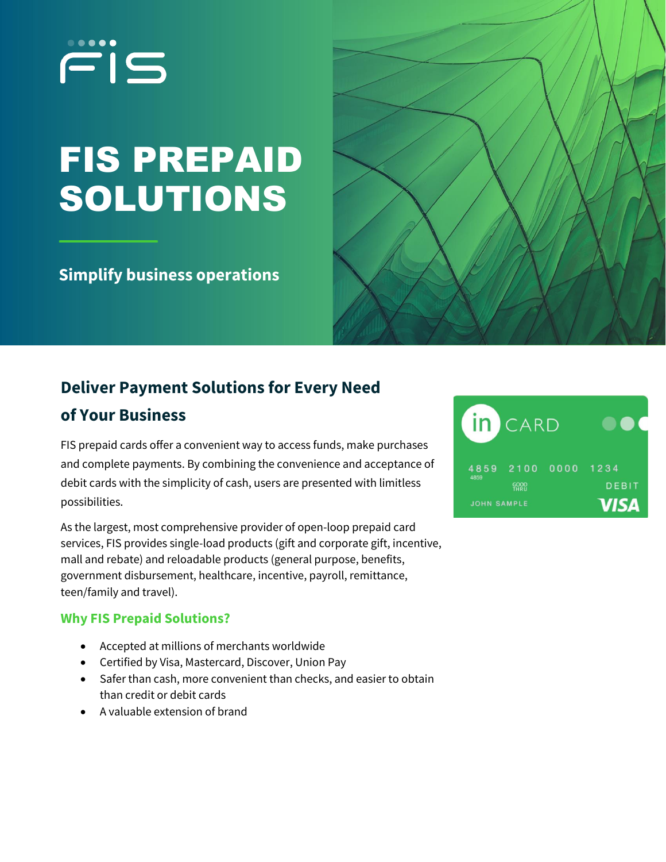# FIS

## FIS PREPAID SOLUTIONS

## **Simplify business operations**



## **Deliver Payment Solutions for Every Need of Your Business**

FIS prepaid cards offer a convenient way to access funds, make purchases and complete payments. By combining the convenience and acceptance of debit cards with the simplicity of cash, users are presented with limitless possibilities.

As the largest, most comprehensive provider of open-loop prepaid card services, FIS provides single-load products (gift and corporate gift, incentive, mall and rebate) and reloadable products (general purpose, benefits, government disbursement, healthcare, incentive, payroll, remittance, teen/family and travel).

### **Why FIS Prepaid Solutions?**

- Accepted at millions of merchants worldwide
- Certified by Visa, Mastercard, Discover, Union Pay
- Safer than cash, more convenient than checks, and easier to obtain than credit or debit cards
- A valuable extension of brand